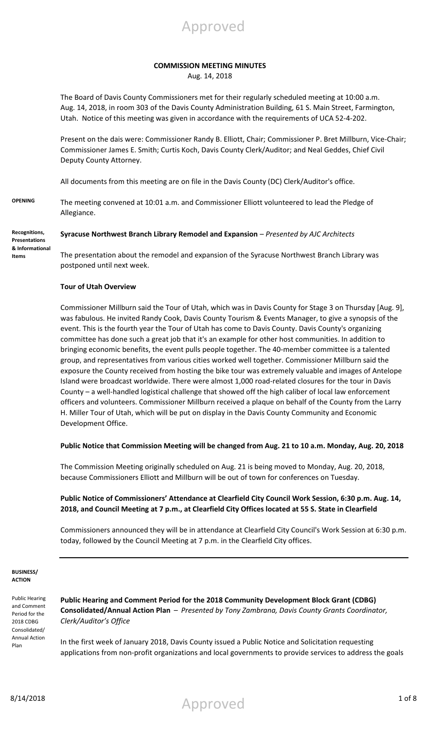

### **COMMISSION MEETING MINUTES**

Aug. 14, 2018

The Board of Davis County Commissioners met for their regularly scheduled meeting at 10:00 a.m. Aug. 14, 2018, in room 303 of the Davis County Administration Building, 61 S. Main Street, Farmington, Utah. Notice of this meeting was given in accordance with the requirements of UCA 52-4-202.

Present on the dais were: Commissioner Randy B. Elliott, Chair; Commissioner P. Bret Millburn, Vice-Chair; Commissioner James E. Smith; Curtis Koch, Davis County Clerk/Auditor; and Neal Geddes, Chief Civil Deputy County Attorney.

All documents from this meeting are on file in the Davis County (DC) Clerk/Auditor's office.

**OPENING** The meeting convened at 10:01 a.m. and Commissioner Elliott volunteered to lead the Pledge of Allegiance.

**Recognitions, Presentations & Informational Items**

**Syracuse Northwest Branch Library Remodel and Expansion** – *Presented by AJC Architects*

The presentation about the remodel and expansion of the Syracuse Northwest Branch Library was postponed until next week.

### **Tour of Utah Overview**

Commissioner Millburn said the Tour of Utah, which was in Davis County for Stage 3 on Thursday [Aug. 9], was fabulous. He invited Randy Cook, Davis County Tourism & Events Manager, to give a synopsis of the event. This is the fourth year the Tour of Utah has come to Davis County. Davis County's organizing committee has done such a great job that it's an example for other host communities. In addition to bringing economic benefits, the event pulls people together. The 40-member committee is a talented group, and representatives from various cities worked well together. Commissioner Millburn said the exposure the County received from hosting the bike tour was extremely valuable and images of Antelope Island were broadcast worldwide. There were almost 1,000 road-related closures for the tour in Davis County – a well-handled logistical challenge that showed off the high caliber of local law enforcement officers and volunteers. Commissioner Millburn received a plaque on behalf of the County from the Larry H. Miller Tour of Utah, which will be put on display in the Davis County Community and Economic Development Office.

### **Public Notice that Commission Meeting will be changed from Aug. 21 to 10 a.m. Monday, Aug. 20, 2018**

The Commission Meeting originally scheduled on Aug. 21 is being moved to Monday, Aug. 20, 2018, because Commissioners Elliott and Millburn will be out of town for conferences on Tuesday.

### **Public Notice of Commissioners' Attendance at Clearfield City Council Work Session, 6:30 p.m. Aug. 14, 2018, and Council Meeting at 7 p.m., at Clearfield City Offices located at 55 S. State in Clearfield**

Commissioners announced they will be in attendance at Clearfield City Council's Work Session at 6:30 p.m. today, followed by the Council Meeting at 7 p.m. in the Clearfield City offices.

#### **BUSINESS/ ACTION**

Public Hearing and Comment Period for the 2018 CDBG Consolidated/ Annual Action Plan

**Public Hearing and Comment Period for the 2018 Community Development Block Grant (CDBG) Consolidated/Annual Action Plan** – *Presented by Tony Zambrana, Davis County Grants Coordinator, Clerk/Auditor's Office*

In the first week of January 2018, Davis County issued a Public Notice and Solicitation requesting applications from non-profit organizations and local governments to provide services to address the goals

8/14/2018 1 of 8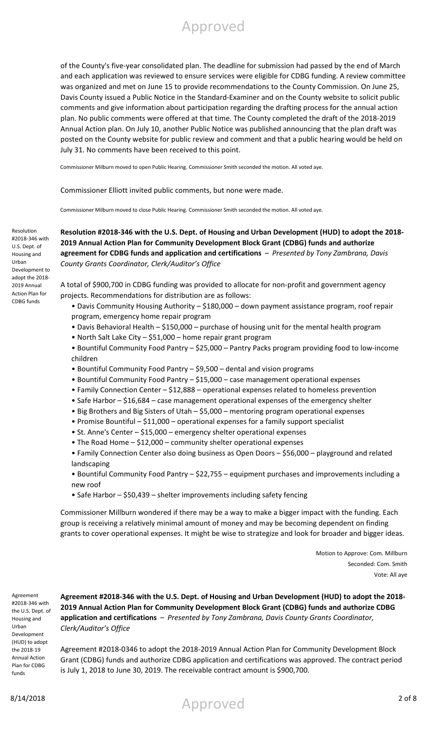of the County's five-year consolidated plan. The deadline for submission had passed by the end of March and each application was reviewed to ensure services were eligible for CDBG funding. A review committee was organized and met on June 15 to provide recommendations to the County Commission. On June 25, Davis County issued a Public Notice in the Standard-Examiner and on the County website to solicit public comments and give information about participation regarding the drafting process for the annual action plan. No public comments were offered at that time. The County completed the draft of the 2018-2019 Annual Action plan. On July 10, another Public Notice was published announcing that the plan draft was posted on the County website for public review and comment and that a public hearing would be held on July 31. No comments have been received to this point.

Commissioner Milburn moved to open Public Hearing. Commissioner Smith seconded the motion. All voted aye.

Commissioner Elliott invited public comments, but none were made.

Commissioner Milburn moved to close Public Hearing. Commissioner Smith seconded the motion. All voted aye.

**Resolution #2018-346 with the U.S. Dept. of Housing and Urban Development (HUD) to adopt the 2018- 2019 Annual Action Plan for Community Development Block Grant (CDBG) funds and authorize agreement for CDBG funds and application and certifications** – *Presented by Tony Zambrana, Davis County Grants Coordinator, Clerk/Auditor's Office*

A total of \$900,700 in CDBG funding was provided to allocate for non-profit and government agency projects. Recommendations for distribution are as follows:

- Davis Community Housing Authority \$180,000 down payment assistance program, roof repair program, emergency home repair program
- Davis Behavioral Health \$150,000 purchase of housing unit for the mental health program
- North Salt Lake City \$51,000 home repair grant program
- Bountiful Community Food Pantry \$25,000 Pantry Packs program providing food to low-income children
- Bountiful Community Food Pantry \$9,500 dental and vision programs
- Bountiful Community Food Pantry \$15,000 case management operational expenses
- Family Connection Center \$12,888 operational expenses related to homeless prevention
- Safe Harbor \$16,684 case management operational expenses of the emergency shelter
- Big Brothers and Big Sisters of Utah \$5,000 mentoring program operational expenses
- Promise Bountiful \$11,000 operational expenses for a family support specialist
- St. Anne's Center \$15,000 emergency shelter operational expenses
- The Road Home \$12,000 community shelter operational expenses
- Family Connection Center also doing business as Open Doors \$56,000 playground and related landscaping
- Bountiful Community Food Pantry \$22,755 equipment purchases and improvements including a new roof
- Safe Harbor \$50,439 shelter improvements including safety fencing

Commissioner Millburn wondered if there may be a way to make a bigger impact with the funding. Each group is receiving a relatively minimal amount of money and may be becoming dependent on finding grants to cover operational expenses. It might be wise to strategize and look for broader and bigger ideas.

> Motion to Approve: Com. Millburn Seconded: Com. Smith Vote: All aye

Agreement #2018-346 with the U.S. Dept. of Housing and Urban Development (HUD) to adopt the 2018-19 Annual Action Plan for CDBG funds

Resolution #2018-346 with U.S. Dept. of Housing and Urban Development to adopt the 2018- 2019 Annual Action Plan for CDBG funds

> **Agreement #2018-346 with the U.S. Dept. of Housing and Urban Development (HUD) to adopt the 2018- 2019 Annual Action Plan for Community Development Block Grant (CDBG) funds and authorize CDBG application and certifications** – *Presented by Tony Zambrana, Davis County Grants Coordinator, Clerk/Auditor's Office*

> Agreement #2018-0346 to adopt the 2018-2019 Annual Action Plan for Community Development Block Grant (CDBG) funds and authorize CDBG application and certifications was approved. The contract period is July 1, 2018 to June 30, 2019. The receivable contract amount is \$900,700.

8/14/2018 2 of 8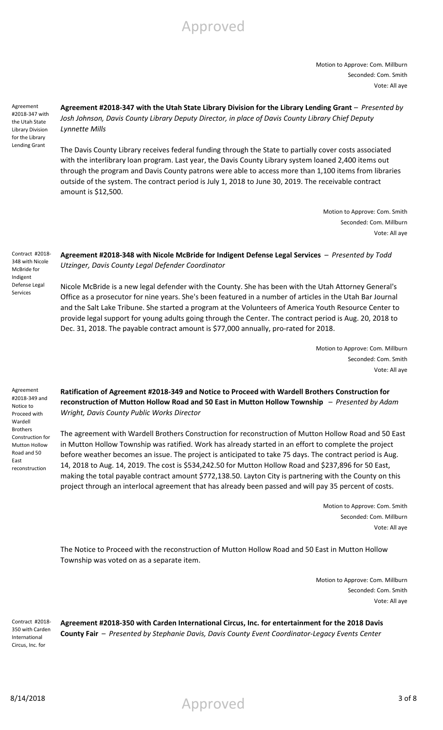Motion to Approve: Com. Millburn Seconded: Com. Smith Vote: All aye

Agreement #2018-347 with the Utah State Library Division for the Library Lending Grant

Agreement #2018-347 with the Utah State Library Division for the Library Lending Grant - *Presented by Josh Johnson, Davis County Library Deputy Director, in place of Davis County Library Chief Deputy Lynnette Mills*

The Davis County Library receives federal funding through the State to partially cover costs associated with the interlibrary loan program. Last year, the Davis County Library system loaned 2,400 items out through the program and Davis County patrons were able to access more than 1,100 items from libraries outside of the system. The contract period is July 1, 2018 to June 30, 2019. The receivable contract amount is \$12,500.

> Motion to Approve: Com. Smith Seconded: Com. Millburn Vote: All aye

Contract #2018- 348 with Nicole McBride for Indigent Defense Legal Services

### **Agreement #2018-348 with Nicole McBride for Indigent Defense Legal Services** – *Presented by Todd Utzinger, Davis County Legal Defender Coordinator*

Nicole McBride is a new legal defender with the County. She has been with the Utah Attorney General's Office as a prosecutor for nine years. She's been featured in a number of articles in the Utah Bar Journal and the Salt Lake Tribune. She started a program at the Volunteers of America Youth Resource Center to provide legal support for young adults going through the Center. The contract period is Aug. 20, 2018 to Dec. 31, 2018. The payable contract amount is \$77,000 annually, pro-rated for 2018.

> Motion to Approve: Com. Millburn Seconded: Com. Smith Vote: All aye

Agreement #2018-349 and Notice to Proceed with Wardell Brothers Construction for Mutton Hollow Road and 50 East reconstruction

**Ratification of Agreement #2018-349 and Notice to Proceed with Wardell Brothers Construction for reconstruction of Mutton Hollow Road and 50 East in Mutton Hollow Township** – *Presented by Adam Wright, Davis County Public Works Director*

The agreement with Wardell Brothers Construction for reconstruction of Mutton Hollow Road and 50 East in Mutton Hollow Township was ratified. Work has already started in an effort to complete the project before weather becomes an issue. The project is anticipated to take 75 days. The contract period is Aug. 14, 2018 to Aug. 14, 2019. The cost is \$534,242.50 for Mutton Hollow Road and \$237,896 for 50 East, making the total payable contract amount \$772,138.50. Layton City is partnering with the County on this project through an interlocal agreement that has already been passed and will pay 35 percent of costs.

> Motion to Approve: Com. Smith Seconded: Com. Millburn Vote: All aye

The Notice to Proceed with the reconstruction of Mutton Hollow Road and 50 East in Mutton Hollow Township was voted on as a separate item.

> Motion to Approve: Com. Millburn Seconded: Com. Smith Vote: All aye

Contract #2018- 350 with Carden International Circus, Inc. for

**Agreement #2018-350 with Carden International Circus, Inc. for entertainment for the 2018 Davis County Fair** – *Presented by Stephanie Davis, Davis County Event Coordinator-Legacy Events Center*

8/14/2018 3 of 8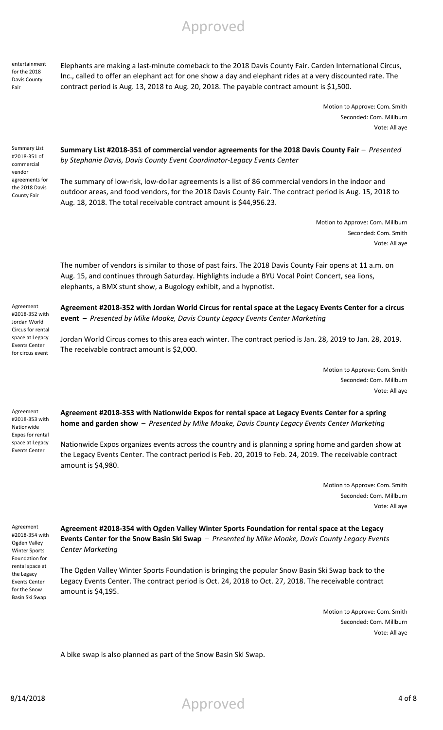entertainment for the 2018 Davis County Fair

Elephants are making a last-minute comeback to the 2018 Davis County Fair. Carden International Circus, Inc., called to offer an elephant act for one show a day and elephant rides at a very discounted rate. The contract period is Aug. 13, 2018 to Aug. 20, 2018. The payable contract amount is \$1,500.

> Motion to Approve: Com. Smith Seconded: Com. Millburn Vote: All aye

Summary List #2018-351 of commercial vendor agreements for the 2018 Davis County Fair

**Summary List #2018-351 of commercial vendor agreements for the 2018 Davis County Fair** – *Presented by Stephanie Davis, Davis County Event Coordinator-Legacy Events Center*

The summary of low-risk, low-dollar agreements is a list of 86 commercial vendors in the indoor and outdoor areas, and food vendors, for the 2018 Davis County Fair. The contract period is Aug. 15, 2018 to Aug. 18, 2018. The total receivable contract amount is \$44,956.23.

> Motion to Approve: Com. Millburn Seconded: Com. Smith Vote: All aye

The number of vendors is similar to those of past fairs. The 2018 Davis County Fair opens at 11 a.m. on Aug. 15, and continues through Saturday. Highlights include a BYU Vocal Point Concert, sea lions, elephants, a BMX stunt show, a Bugology exhibit, and a hypnotist.

Agreement #2018-352 with Jordan World Circus for rental space at Legacy Events Center for circus event

**Agreement #2018-352 with Jordan World Circus for rental space at the Legacy Events Center for a circus event** – *Presented by Mike Moake, Davis County Legacy Events Center Marketing*

Jordan World Circus comes to this area each winter. The contract period is Jan. 28, 2019 to Jan. 28, 2019. The receivable contract amount is \$2,000.

> Motion to Approve: Com. Smith Seconded: Com. Millburn Vote: All aye

Agreement #2018-353 with Nationwide Expos for rental space at Legacy Events Center

**Agreement #2018-353 with Nationwide Expos for rental space at Legacy Events Center for a spring home and garden show** – *Presented by Mike Moake, Davis County Legacy Events Center Marketing*

Nationwide Expos organizes events across the country and is planning a spring home and garden show at the Legacy Events Center. The contract period is Feb. 20, 2019 to Feb. 24, 2019. The receivable contract amount is \$4,980.

> Motion to Approve: Com. Smith Seconded: Com. Millburn Vote: All aye

Agreement #2018-354 with Ogden Valley Winter Sports Foundation for rental space at the Legacy Events Center for the Snow Basin Ski Swap

**Agreement #2018-354 with Ogden Valley Winter Sports Foundation for rental space at the Legacy Events Center for the Snow Basin Ski Swap** – *Presented by Mike Moake, Davis County Legacy Events Center Marketing*

The Ogden Valley Winter Sports Foundation is bringing the popular Snow Basin Ski Swap back to the Legacy Events Center. The contract period is Oct. 24, 2018 to Oct. 27, 2018. The receivable contract amount is \$4,195.

> Motion to Approve: Com. Smith Seconded: Com. Millburn Vote: All aye

A bike swap is also planned as part of the Snow Basin Ski Swap.

 $8/14/2018$  4 of 8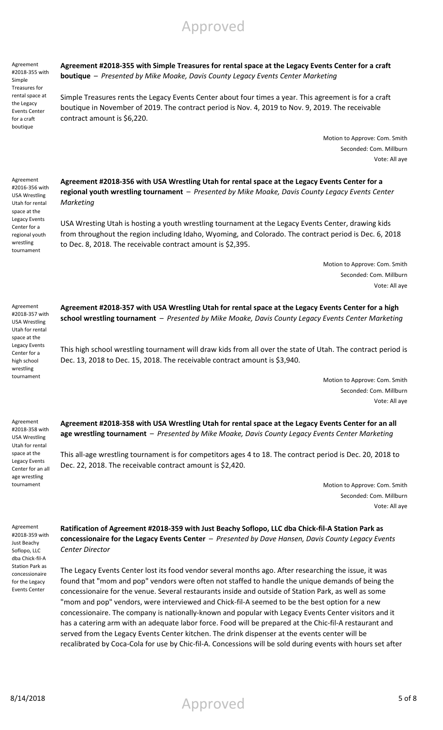Agreement #2018-355 with Simple Treasures for rental space at the Legacy Events Center for a craft boutique

Agreement #2016-356 with USA Wrestling Utah for rental space at the Legacy Events Center for a regional youth wrestling tournament

**Agreement #2018-355 with Simple Treasures for rental space at the Legacy Events Center for a craft boutique** – *Presented by Mike Moake, Davis County Legacy Events Center Marketing*

Simple Treasures rents the Legacy Events Center about four times a year. This agreement is for a craft boutique in November of 2019. The contract period is Nov. 4, 2019 to Nov. 9, 2019. The receivable contract amount is \$6,220.

> Motion to Approve: Com. Smith Seconded: Com. Millburn Vote: All aye

**Agreement #2018-356 with USA Wrestling Utah for rental space at the Legacy Events Center for a regional youth wrestling tournament** – *Presented by Mike Moake, Davis County Legacy Events Center Marketing*

USA Wresting Utah is hosting a youth wrestling tournament at the Legacy Events Center, drawing kids from throughout the region including Idaho, Wyoming, and Colorado. The contract period is Dec. 6, 2018 to Dec. 8, 2018. The receivable contract amount is \$2,395.

> Motion to Approve: Com. Smith Seconded: Com. Millburn Vote: All aye

Agreement #2018-357 with USA Wrestling Utah for rental space at the Legacy Events Center for a high school wrestling tournament

Agreement #2018-358 with USA Wrestling Utah for rental space at the Legacy Events Center for an all age wrestling tournament

**Agreement #2018-357 with USA Wrestling Utah for rental space at the Legacy Events Center for a high school wrestling tournament** – *Presented by Mike Moake, Davis County Legacy Events Center Marketing*

This high school wrestling tournament will draw kids from all over the state of Utah. The contract period is Dec. 13, 2018 to Dec. 15, 2018. The receivable contract amount is \$3,940.

> Motion to Approve: Com. Smith Seconded: Com. Millburn Vote: All aye

**Agreement #2018-358 with USA Wrestling Utah for rental space at the Legacy Events Center for an all age wrestling tournament** – *Presented by Mike Moake, Davis County Legacy Events Center Marketing*

This all-age wrestling tournament is for competitors ages 4 to 18. The contract period is Dec. 20, 2018 to Dec. 22, 2018. The receivable contract amount is \$2,420.

> Motion to Approve: Com. Smith Seconded: Com. Millburn Vote: All aye

Agreement #2018-359 with Just Beachy Soflopo, LLC dba Chick-fil-A Station Park as concessionaire for the Legacy Events Center

**Ratification of Agreement #2018-359 with Just Beachy Soflopo, LLC dba Chick-fil-A Station Park as concessionaire for the Legacy Events Center** – *Presented by Dave Hansen, Davis County Legacy Events Center Director*

The Legacy Events Center lost its food vendor several months ago. After researching the issue, it was found that "mom and pop" vendors were often not staffed to handle the unique demands of being the concessionaire for the venue. Several restaurants inside and outside of Station Park, as well as some "mom and pop" vendors, were interviewed and Chick-fil-A seemed to be the best option for a new concessionaire. The company is nationally-known and popular with Legacy Events Center visitors and it has a catering arm with an adequate labor force. Food will be prepared at the Chic-fil-A restaurant and served from the Legacy Events Center kitchen. The drink dispenser at the events center will be recalibrated by Coca-Cola for use by Chic-fil-A. Concessions will be sold during events with hours set after

8/14/2018 5 of 8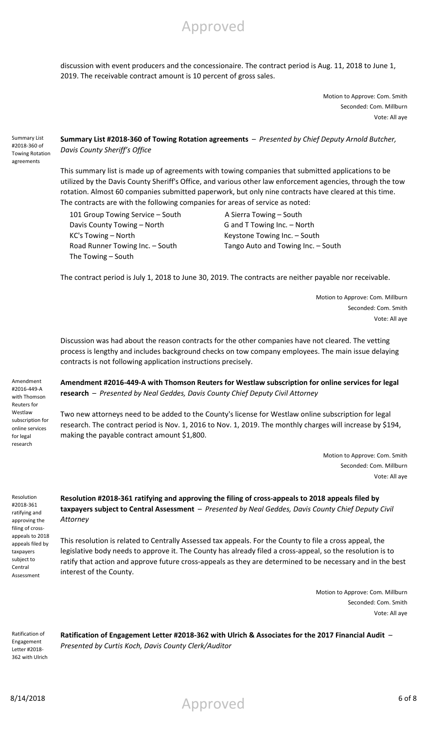discussion with event producers and the concessionaire. The contract period is Aug. 11, 2018 to June 1, 2019. The receivable contract amount is 10 percent of gross sales.

Approved

Motion to Approve: Com. Smith Seconded: Com. Millburn Vote: All aye

Summary List #2018-360 of Towing Rotation agreements

**Summary List #2018-360 of Towing Rotation agreements** – *Presented by Chief Deputy Arnold Butcher, Davis County Sheriff's Office*

This summary list is made up of agreements with towing companies that submitted applications to be utilized by the Davis County Sheriff's Office, and various other law enforcement agencies, through the tow rotation. Almost 60 companies submitted paperwork, but only nine contracts have cleared at this time. The contracts are with the following companies for areas of service as noted:

101 Group Towing Service – South A Sierra Towing – South Davis County Towing – North G and T Towing Inc. – North KC's Towing – North **Keystone Towing Inc.** – South The Towing – South

Road Runner Towing Inc. – South Tango Auto and Towing Inc. – South

The contract period is July 1, 2018 to June 30, 2019. The contracts are neither payable nor receivable.

Motion to Approve: Com. Millburn Seconded: Com. Smith Vote: All aye

Discussion was had about the reason contracts for the other companies have not cleared. The vetting process is lengthy and includes background checks on tow company employees. The main issue delaying contracts is not following application instructions precisely.

Amendment #2016-449-A with Thomson Reuters for Westlaw subscription for online services for legal research

**Amendment #2016-449-A with Thomson Reuters for Westlaw subscription for online services for legal research** – *Presented by Neal Geddes, Davis County Chief Deputy Civil Attorney*

Two new attorneys need to be added to the County's license for Westlaw online subscription for legal research. The contract period is Nov. 1, 2016 to Nov. 1, 2019. The monthly charges will increase by \$194, making the payable contract amount \$1,800.

> Motion to Approve: Com. Smith Seconded: Com. Millburn Vote: All aye

Resolution #2018-361 ratifying and approving the filing of crossappeals to 2018 appeals filed by taxpayers subject to Central Assessment

**Resolution #2018-361 ratifying and approving the filing of cross-appeals to 2018 appeals filed by taxpayers subject to Central Assessment** – *Presented by Neal Geddes, Davis County Chief Deputy Civil Attorney*

This resolution is related to Centrally Assessed tax appeals. For the County to file a cross appeal, the legislative body needs to approve it. The County has already filed a cross-appeal, so the resolution is to ratify that action and approve future cross-appeals as they are determined to be necessary and in the best interest of the County.

> Motion to Approve: Com. Millburn Seconded: Com. Smith Vote: All aye

Ratification of Engagement Letter #2018- 362 with Ulrich **Ratification of Engagement Letter #2018-362 with Ulrich & Associates for the 2017 Financial Audit** – *Presented by Curtis Koch, Davis County Clerk/Auditor*

8/14/2018 6 of 8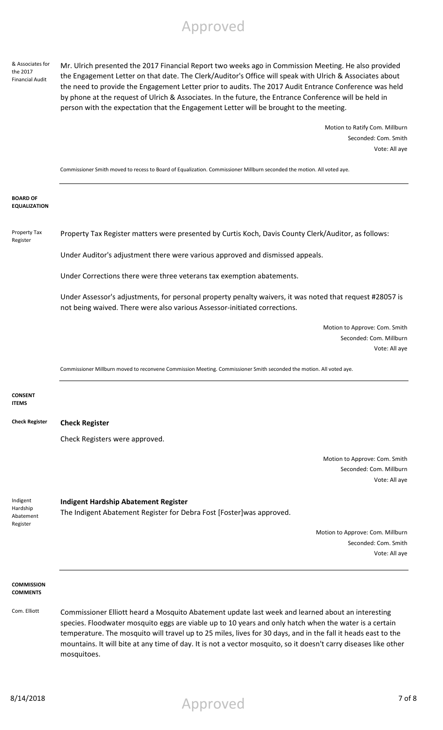& Associates for the 2017 Financial Audit

Mr. Ulrich presented the 2017 Financial Report two weeks ago in Commission Meeting. He also provided the Engagement Letter on that date. The Clerk/Auditor's Office will speak with Ulrich & Associates about the need to provide the Engagement Letter prior to audits. The 2017 Audit Entrance Conference was held by phone at the request of Ulrich & Associates. In the future, the Entrance Conference will be held in person with the expectation that the Engagement Letter will be brought to the meeting.

> Motion to Ratify Com. Millburn Seconded: Com. Smith Vote: All aye

Commissioner Smith moved to recess to Board of Equalization. Commissioner Millburn seconded the motion. All voted aye.

**BOARD OF EQUALIZATION**

Property Tax Register Property Tax Register matters were presented by Curtis Koch, Davis County Clerk/Auditor, as follows:

Under Auditor's adjustment there were various approved and dismissed appeals.

Under Corrections there were three veterans tax exemption abatements.

Under Assessor's adjustments, for personal property penalty waivers, it was noted that request #28057 is not being waived. There were also various Assessor-initiated corrections.

> Motion to Approve: Com. Smith Seconded: Com. Millburn Vote: All aye

Commissioner Millburn moved to reconvene Commission Meeting. Commissioner Smith seconded the motion. All voted aye.

**CONSENT ITEMS**

**Check Register Check Register**

Check Registers were approved.

Motion to Approve: Com. Smith Seconded: Com. Millburn Vote: All aye

Indigent Hardship Abatement Register

**Indigent Hardship Abatement Register**

The Indigent Abatement Register for Debra Fost [Foster]was approved.

Motion to Approve: Com. Millburn Seconded: Com. Smith Vote: All aye

#### **COMMISSION COMMENTS**

Com. Elliott Commissioner Elliott heard a Mosquito Abatement update last week and learned about an interesting species. Floodwater mosquito eggs are viable up to 10 years and only hatch when the water is a certain temperature. The mosquito will travel up to 25 miles, lives for 30 days, and in the fall it heads east to the mountains. It will bite at any time of day. It is not a vector mosquito, so it doesn't carry diseases like other mosquitoes.

8/14/2018 7 of 8